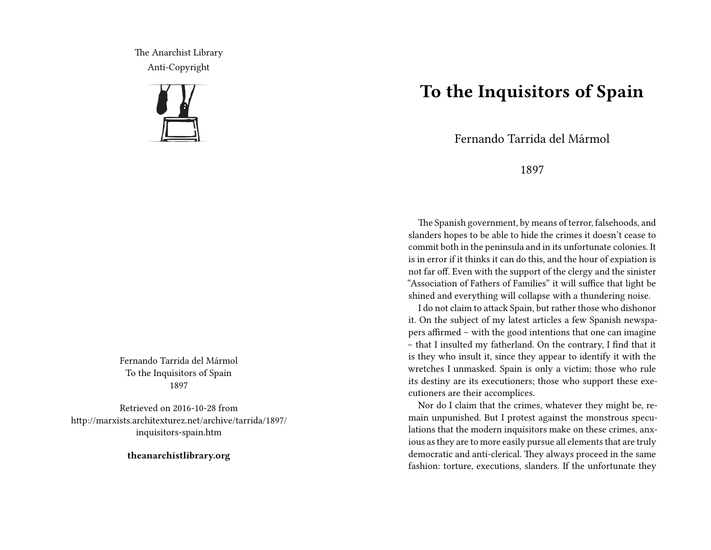The Anarchist Library Anti-Copyright



Fernando Tarrida del Mármol To the Inquisitors of Spain 1897

Retrieved on 2016-10-28 from http://marxists.architexturez.net/archive/tarrida/1897/ inquisitors-spain.htm

**theanarchistlibrary.org**

## **To the Inquisitors of Spain**

Fernando Tarrida del Mármol

## 1897

The Spanish government, by means of terror, falsehoods, and slanders hopes to be able to hide the crimes it doesn't cease to commit both in the peninsula and in its unfortunate colonies. It is in error if it thinks it can do this, and the hour of expiation is not far off. Even with the support of the clergy and the sinister "Association of Fathers of Families" it will suffice that light be shined and everything will collapse with a thundering noise.

I do not claim to attack Spain, but rather those who dishonor it. On the subject of my latest articles a few Spanish newspapers affirmed – with the good intentions that one can imagine – that I insulted my fatherland. On the contrary, I find that it is they who insult it, since they appear to identify it with the wretches I unmasked. Spain is only a victim; those who rule its destiny are its executioners; those who support these executioners are their accomplices.

Nor do I claim that the crimes, whatever they might be, remain unpunished. But I protest against the monstrous speculations that the modern inquisitors make on these crimes, anxious as they are to more easily pursue all elements that are truly democratic and anti-clerical. They always proceed in the same fashion: torture, executions, slanders. If the unfortunate they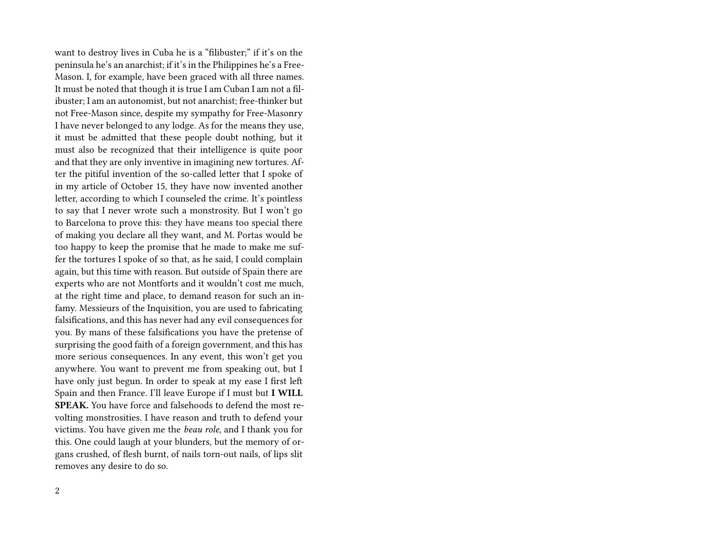want to destroy lives in Cuba he is a "filibuster;" if it's on the peninsula he's an anarchist; if it's in the Philippines he's a Free-Mason. I, for example, have been graced with all three names. It must be noted that though it is true I am Cuban I am not a filibuster; I am an autonomist, but not anarchist; free-thinker but not Free-Mason since, despite my sympathy for Free-Masonry I have never belonged to any lodge. As for the means they use, it must be admitted that these people doubt nothing, but it must also be recognized that their intelligence is quite poor and that they are only inventive in imagining new tortures. After the pitiful invention of the so-called letter that I spoke of in my article of October 15, they have now invented another letter, according to which I counseled the crime. It's pointless to say that I never wrote such a monstrosity. But I won't go to Barcelona to prove this: they have means too special there of making you declare all they want, and M. Portas would be too happy to keep the promise that he made to make me suffer the tortures I spoke of so that, as he said, I could complain again, but this time with reason. But outside of Spain there are experts who are not Montforts and it wouldn't cost me much, at the right time and place, to demand reason for such an infamy. Messieurs of the Inquisition, you are used to fabricating falsifications, and this has never had any evil consequences for you. By mans of these falsifications you have the pretense of surprising the good faith of a foreign government, and this has more serious consequences. In any event, this won't get you anywhere. You want to prevent me from speaking out, but I have only just begun. In order to speak at my ease I first left Spain and then France. I'll leave Europe if I must but **I WILL SPEAK.** You have force and falsehoods to defend the most revolting monstrosities. I have reason and truth to defend your victims. You have given me the *beau role,* and I thank you for this. One could laugh at your blunders, but the memory of organs crushed, of flesh burnt, of nails torn-out nails, of lips slit removes any desire to do so.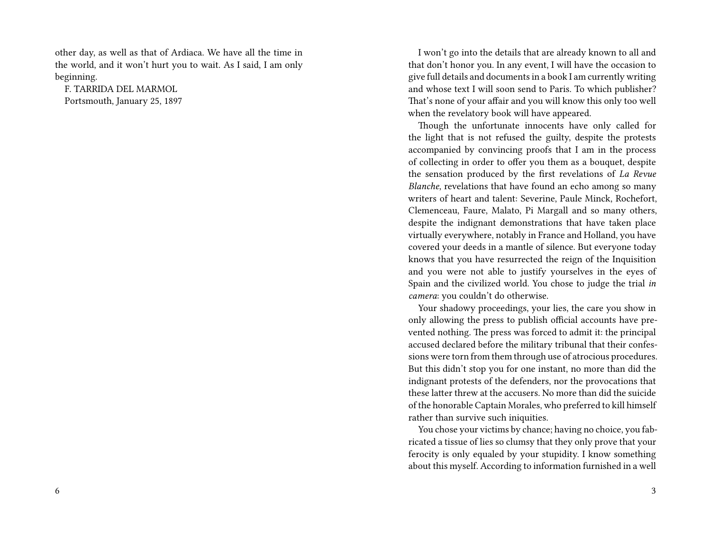other day, as well as that of Ardiaca. We have all the time in the world, and it won't hurt you to wait. As I said, I am only beginning.

F. TARRIDA DEL MARMOL Portsmouth, January 25, 1897

I won't go into the details that are already known to all and that don't honor you. In any event, I will have the occasion to give full details and documents in a book I am currently writing and whose text I will soon send to Paris. To which publisher? That's none of your affair and you will know this only too well when the revelatory book will have appeared.

Though the unfortunate innocents have only called for the light that is not refused the guilty, despite the protests accompanied by convincing proofs that I am in the process of collecting in order to offer you them as a bouquet, despite the sensation produced by the first revelations of *La Revue Blanche*, revelations that have found an echo among so many writers of heart and talent: Severine, Paule Minck, Rochefort, Clemenceau, Faure, Malato, Pi Margall and so many others, despite the indignant demonstrations that have taken place virtually everywhere, notably in France and Holland, you have covered your deeds in a mantle of silence. But everyone today knows that you have resurrected the reign of the Inquisition and you were not able to justify yourselves in the eyes of Spain and the civilized world. You chose to judge the trial *in camera*: you couldn't do otherwise.

Your shadowy proceedings, your lies, the care you show in only allowing the press to publish official accounts have prevented nothing. The press was forced to admit it: the principal accused declared before the military tribunal that their confessions were torn from them through use of atrocious procedures. But this didn't stop you for one instant, no more than did the indignant protests of the defenders, nor the provocations that these latter threw at the accusers. No more than did the suicide of the honorable Captain Morales, who preferred to kill himself rather than survive such iniquities.

You chose your victims by chance; having no choice, you fabricated a tissue of lies so clumsy that they only prove that your ferocity is only equaled by your stupidity. I know something about this myself. According to information furnished in a well